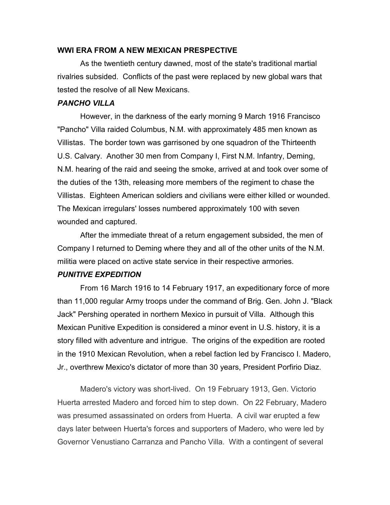### WWI ERA FROM A NEW MEXICAN PRESPECTIVE

As the twentieth century dawned, most of the state's traditional martial rivalries subsided. Conflicts of the past were replaced by new global wars that tested the resolve of all New Mexicans.

# PANCHO VILLA

However, in the darkness of the early morning 9 March 1916 Francisco "Pancho" Villa raided Columbus, N.M. with approximately 485 men known as Villistas. The border town was garrisoned by one squadron of the Thirteenth U.S. Calvary. Another 30 men from Company I, First N.M. Infantry, Deming, N.M. hearing of the raid and seeing the smoke, arrived at and took over some of the duties of the 13th, releasing more members of the regiment to chase the Villistas. Eighteen American soldiers and civilians were either killed or wounded. The Mexican irregulars' losses numbered approximately 100 with seven wounded and captured.

After the immediate threat of a return engagement subsided, the men of Company I returned to Deming where they and all of the other units of the N.M. militia were placed on active state service in their respective armories.

## PUNITIVE EXPEDITION

From 16 March 1916 to 14 February 1917, an expeditionary force of more than 11,000 regular Army troops under the command of Brig. Gen. John J. "Black Jack" Pershing operated in northern Mexico in pursuit of Villa. Although this Mexican Punitive Expedition is considered a minor event in U.S. history, it is a story filled with adventure and intrigue. The origins of the expedition are rooted in the 1910 Mexican Revolution, when a rebel faction led by Francisco I. Madero, Jr., overthrew Mexico's dictator of more than 30 years, President Porfirio Diaz.

 Madero's victory was short-lived. On 19 February 1913, Gen. Victorio Huerta arrested Madero and forced him to step down. On 22 February, Madero was presumed assassinated on orders from Huerta. A civil war erupted a few days later between Huerta's forces and supporters of Madero, who were led by Governor Venustiano Carranza and Pancho Villa. With a contingent of several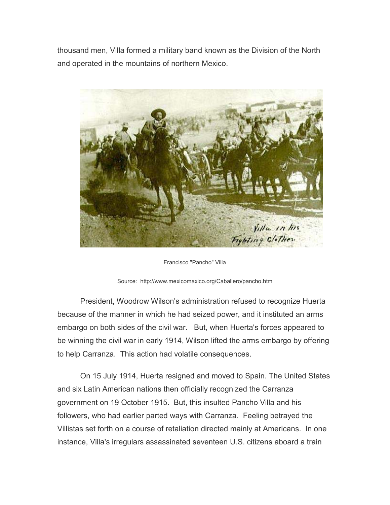thousand men, Villa formed a military band known as the Division of the North and operated in the mountains of northern Mexico.



Francisco "Pancho" Villa



 President, Woodrow Wilson's administration refused to recognize Huerta because of the manner in which he had seized power, and it instituted an arms embargo on both sides of the civil war. But, when Huerta's forces appeared to be winning the civil war in early 1914, Wilson lifted the arms embargo by offering to help Carranza. This action had volatile consequences.

 On 15 July 1914, Huerta resigned and moved to Spain. The United States and six Latin American nations then officially recognized the Carranza government on 19 October 1915. But, this insulted Pancho Villa and his followers, who had earlier parted ways with Carranza. Feeling betrayed the Villistas set forth on a course of retaliation directed mainly at Americans. In one instance, Villa's irregulars assassinated seventeen U.S. citizens aboard a train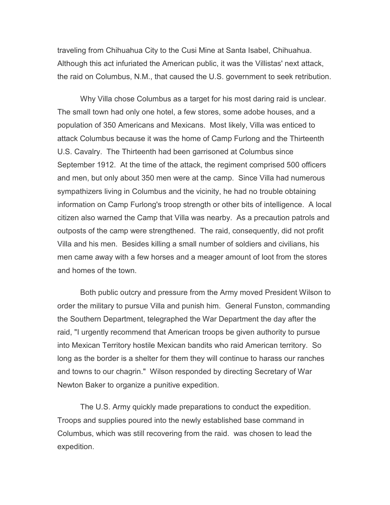traveling from Chihuahua City to the Cusi Mine at Santa Isabel, Chihuahua. Although this act infuriated the American public, it was the Villistas' next attack, the raid on Columbus, N.M., that caused the U.S. government to seek retribution.

 Why Villa chose Columbus as a target for his most daring raid is unclear. The small town had only one hotel, a few stores, some adobe houses, and a population of 350 Americans and Mexicans. Most likely, Villa was enticed to attack Columbus because it was the home of Camp Furlong and the Thirteenth U.S. Cavalry. The Thirteenth had been garrisoned at Columbus since September 1912. At the time of the attack, the regiment comprised 500 officers and men, but only about 350 men were at the camp. Since Villa had numerous sympathizers living in Columbus and the vicinity, he had no trouble obtaining information on Camp Furlong's troop strength or other bits of intelligence. A local citizen also warned the Camp that Villa was nearby. As a precaution patrols and outposts of the camp were strengthened. The raid, consequently, did not profit Villa and his men. Besides killing a small number of soldiers and civilians, his men came away with a few horses and a meager amount of loot from the stores and homes of the town.

 Both public outcry and pressure from the Army moved President Wilson to order the military to pursue Villa and punish him. General Funston, commanding the Southern Department, telegraphed the War Department the day after the raid, "I urgently recommend that American troops be given authority to pursue into Mexican Territory hostile Mexican bandits who raid American territory. So long as the border is a shelter for them they will continue to harass our ranches and towns to our chagrin." Wilson responded by directing Secretary of War Newton Baker to organize a punitive expedition.

 The U.S. Army quickly made preparations to conduct the expedition. Troops and supplies poured into the newly established base command in Columbus, which was still recovering from the raid. was chosen to lead the expedition.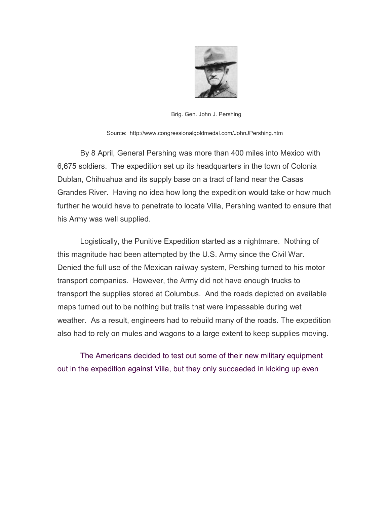

Brig. Gen. John J. Pershing

Source: http://www.congressionalgoldmedal.com/JohnJPershing.htm

 By 8 April, General Pershing was more than 400 miles into Mexico with 6,675 soldiers. The expedition set up its headquarters in the town of Colonia Dublan, Chihuahua and its supply base on a tract of land near the Casas Grandes River. Having no idea how long the expedition would take or how much further he would have to penetrate to locate Villa, Pershing wanted to ensure that his Army was well supplied.

 Logistically, the Punitive Expedition started as a nightmare. Nothing of this magnitude had been attempted by the U.S. Army since the Civil War. Denied the full use of the Mexican railway system, Pershing turned to his motor transport companies. However, the Army did not have enough trucks to transport the supplies stored at Columbus. And the roads depicted on available maps turned out to be nothing but trails that were impassable during wet weather. As a result, engineers had to rebuild many of the roads. The expedition also had to rely on mules and wagons to a large extent to keep supplies moving.

The Americans decided to test out some of their new military equipment out in the expedition against Villa, but they only succeeded in kicking up even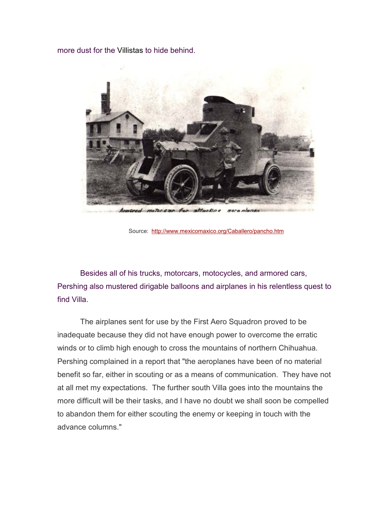more dust for the Villistas to hide behind.



Source: http://www.mexicomaxico.org/Caballero/pancho.htm

Besides all of his trucks, motorcars, motocycles, and armored cars, Pershing also mustered dirigable balloons and airplanes in his relentless quest to find Villa.

 The airplanes sent for use by the First Aero Squadron proved to be inadequate because they did not have enough power to overcome the erratic winds or to climb high enough to cross the mountains of northern Chihuahua. Pershing complained in a report that "the aeroplanes have been of no material benefit so far, either in scouting or as a means of communication. They have not at all met my expectations. The further south Villa goes into the mountains the more difficult will be their tasks, and I have no doubt we shall soon be compelled to abandon them for either scouting the enemy or keeping in touch with the advance columns."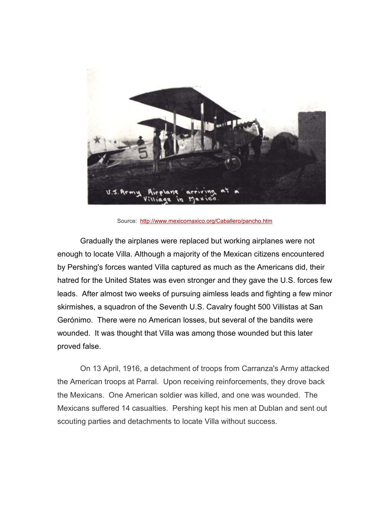

Source: http://www.mexicomaxico.org/Caballero/pancho.htm

Gradually the airplanes were replaced but working airplanes were not enough to locate Villa. Although a majority of the Mexican citizens encountered by Pershing's forces wanted Villa captured as much as the Americans did, their hatred for the United States was even stronger and they gave the U.S. forces few leads. After almost two weeks of pursuing aimless leads and fighting a few minor skirmishes, a squadron of the Seventh U.S. Cavalry fought 500 Villistas at San Gerónimo. There were no American losses, but several of the bandits were wounded. It was thought that Villa was among those wounded but this later proved false.

 On 13 April, 1916, a detachment of troops from Carranza's Army attacked the American troops at Parral. Upon receiving reinforcements, they drove back the Mexicans. One American soldier was killed, and one was wounded. The Mexicans suffered 14 casualties. Pershing kept his men at Dublan and sent out scouting parties and detachments to locate Villa without success.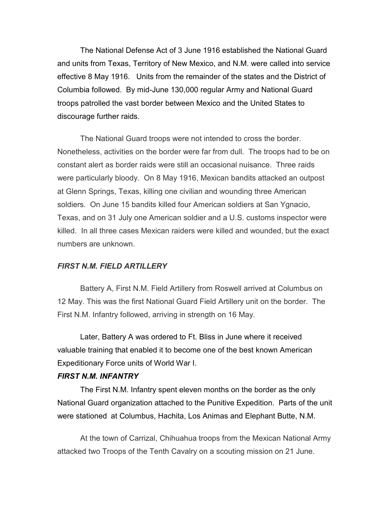The National Defense Act of 3 June 1916 established the National Guard and units from Texas, Territory of New Mexico, and N.M. were called into service effective 8 May 1916. Units from the remainder of the states and the District of Columbia followed. By mid-June 130,000 regular Army and National Guard troops patrolled the vast border between Mexico and the United States to discourage further raids.

 The National Guard troops were not intended to cross the border. Nonetheless, activities on the border were far from dull. The troops had to be on constant alert as border raids were still an occasional nuisance. Three raids were particularly bloody. On 8 May 1916, Mexican bandits attacked an outpost at Glenn Springs, Texas, killing one civilian and wounding three American soldiers. On June 15 bandits killed four American soldiers at San Ygnacio, Texas, and on 31 July one American soldier and a U.S. customs inspector were killed. In all three cases Mexican raiders were killed and wounded, but the exact numbers are unknown.

### FIRST N.M. FIELD ARTILLERY

 Battery A, First N.M. Field Artillery from Roswell arrived at Columbus on 12 May. This was the first National Guard Field Artillery unit on the border. The First N.M. Infantry followed, arriving in strength on 16 May.

Later, Battery A was ordered to Ft. Bliss in June where it received valuable training that enabled it to become one of the best known American Expeditionary Force units of World War I.

### FIRST N.M. INFANTRY

 The First N.M. Infantry spent eleven months on the border as the only National Guard organization attached to the Punitive Expedition. Parts of the unit were stationed at Columbus, Hachita, Los Animas and Elephant Butte, N.M.

 At the town of Carrizal, Chihuahua troops from the Mexican National Army attacked two Troops of the Tenth Cavalry on a scouting mission on 21 June.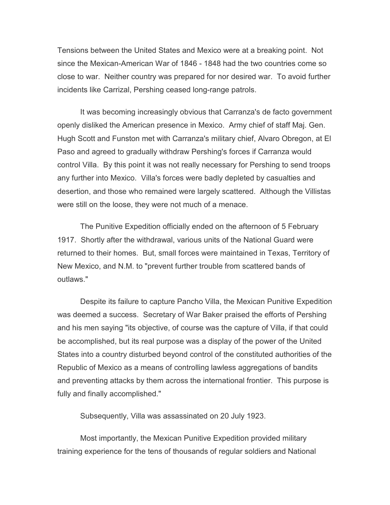Tensions between the United States and Mexico were at a breaking point. Not since the Mexican-American War of 1846 - 1848 had the two countries come so close to war. Neither country was prepared for nor desired war. To avoid further incidents like Carrizal, Pershing ceased long-range patrols.

 It was becoming increasingly obvious that Carranza's de facto government openly disliked the American presence in Mexico. Army chief of staff Maj. Gen. Hugh Scott and Funston met with Carranza's military chief, Alvaro Obregon, at El Paso and agreed to gradually withdraw Pershing's forces if Carranza would control Villa. By this point it was not really necessary for Pershing to send troops any further into Mexico. Villa's forces were badly depleted by casualties and desertion, and those who remained were largely scattered. Although the Villistas were still on the loose, they were not much of a menace.

 The Punitive Expedition officially ended on the afternoon of 5 February 1917. Shortly after the withdrawal, various units of the National Guard were returned to their homes. But, small forces were maintained in Texas, Territory of New Mexico, and N.M. to "prevent further trouble from scattered bands of outlaws."

 Despite its failure to capture Pancho Villa, the Mexican Punitive Expedition was deemed a success. Secretary of War Baker praised the efforts of Pershing and his men saying "its objective, of course was the capture of Villa, if that could be accomplished, but its real purpose was a display of the power of the United States into a country disturbed beyond control of the constituted authorities of the Republic of Mexico as a means of controlling lawless aggregations of bandits and preventing attacks by them across the international frontier. This purpose is fully and finally accomplished."

Subsequently, Villa was assassinated on 20 July 1923.

 Most importantly, the Mexican Punitive Expedition provided military training experience for the tens of thousands of regular soldiers and National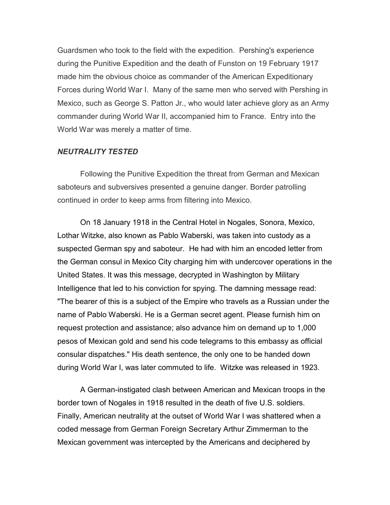Guardsmen who took to the field with the expedition. Pershing's experience during the Punitive Expedition and the death of Funston on 19 February 1917 made him the obvious choice as commander of the American Expeditionary Forces during World War I. Many of the same men who served with Pershing in Mexico, such as George S. Patton Jr., who would later achieve glory as an Army commander during World War II, accompanied him to France. Entry into the World War was merely a matter of time.

## NEUTRALITY TESTED

 Following the Punitive Expedition the threat from German and Mexican saboteurs and subversives presented a genuine danger. Border patrolling continued in order to keep arms from filtering into Mexico.

 On 18 January 1918 in the Central Hotel in Nogales, Sonora, Mexico, Lothar Witzke, also known as Pablo Waberski, was taken into custody as a suspected German spy and saboteur. He had with him an encoded letter from the German consul in Mexico City charging him with undercover operations in the United States. It was this message, decrypted in Washington by Military Intelligence that led to his conviction for spying. The damning message read: "The bearer of this is a subject of the Empire who travels as a Russian under the name of Pablo Waberski. He is a German secret agent. Please furnish him on request protection and assistance; also advance him on demand up to 1,000 pesos of Mexican gold and send his code telegrams to this embassy as official consular dispatches." His death sentence, the only one to be handed down during World War I, was later commuted to life. Witzke was released in 1923.

 A German-instigated clash between American and Mexican troops in the border town of Nogales in 1918 resulted in the death of five U.S. soldiers. Finally, American neutrality at the outset of World War I was shattered when a coded message from German Foreign Secretary Arthur Zimmerman to the Mexican government was intercepted by the Americans and deciphered by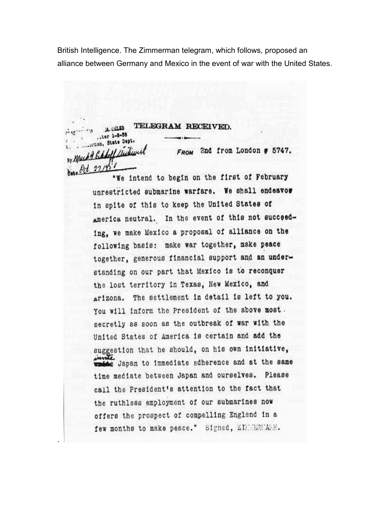British Intelligence. The Zimmerman telegram, which follows, proposed an alliance between Germany and Mexico in the event of war with the United States.

TELEGRAM RECEIVED. .tor 1-8-58 rion, State Dept. 2nd from London # 5747. **FROM** *M Hickey* Oct. 22,1851 "We intend to begin on the first of February

unrestricted submarine warfare. We shall endeavor in spite of this to keep the United States of america neutral. In the event of this not succeeding, we make Mexico a proposal of alliance on the following basis: make war together, make peace together, generous financial support and an understanding on our part that Mexico is to reconquer the lost territory in Texas, New Mexico, and arizona. The settlement in detail is left to you. You will inform the President of the above most. secretly as soon as the outbreak of war with the United States of America is certain and add the suggestion that he should, on his own initiative, e Japan to immediate adherence and at the same time mediate between Japan and ourselves. Please call the President's attention to the fact that the ruthless employment of our submarines now offers the prospect of compelling England in a few months to make peace." Signed, ZIMERNARY.

.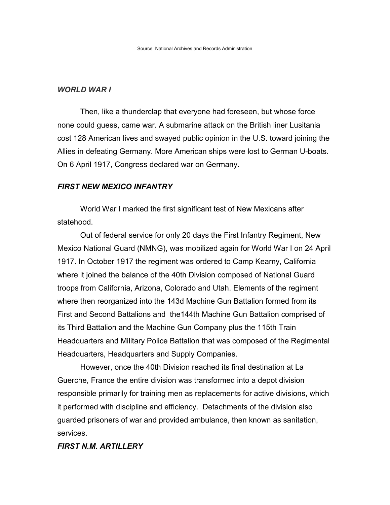#### WORLD WAR I

Then, like a thunderclap that everyone had foreseen, but whose force none could guess, came war. A submarine attack on the British liner Lusitania cost 128 American lives and swayed public opinion in the U.S. toward joining the Allies in defeating Germany. More American ships were lost to German U-boats. On 6 April 1917, Congress declared war on Germany.

#### FIRST NEW MEXICO INFANTRY

World War I marked the first significant test of New Mexicans after statehood.

 Out of federal service for only 20 days the First Infantry Regiment, New Mexico National Guard (NMNG), was mobilized again for World War I on 24 April 1917. In October 1917 the regiment was ordered to Camp Kearny, California where it joined the balance of the 40th Division composed of National Guard troops from California, Arizona, Colorado and Utah. Elements of the regiment where then reorganized into the 143d Machine Gun Battalion formed from its First and Second Battalions and the144th Machine Gun Battalion comprised of its Third Battalion and the Machine Gun Company plus the 115th Train Headquarters and Military Police Battalion that was composed of the Regimental Headquarters, Headquarters and Supply Companies.

However, once the 40th Division reached its final destination at La Guerche, France the entire division was transformed into a depot division responsible primarily for training men as replacements for active divisions, which it performed with discipline and efficiency. Detachments of the division also guarded prisoners of war and provided ambulance, then known as sanitation, services.

## FIRST N.M. ARTILLERY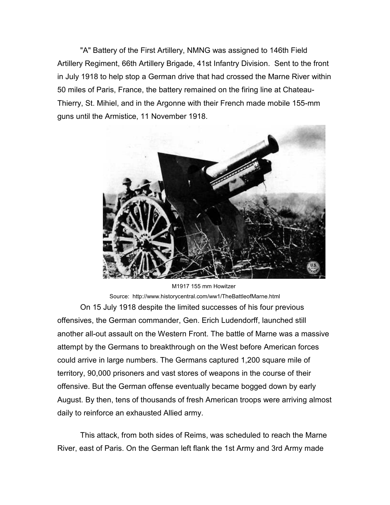"A" Battery of the First Artillery, NMNG was assigned to 146th Field Artillery Regiment, 66th Artillery Brigade, 41st Infantry Division. Sent to the front in July 1918 to help stop a German drive that had crossed the Marne River within 50 miles of Paris, France, the battery remained on the firing line at Chateau-Thierry, St. Mihiel, and in the Argonne with their French made mobile 155-mm guns until the Armistice, 11 November 1918.



Source: http://www.historycentral.com/ww1/TheBattleofMarne.html On 15 July 1918 despite the limited successes of his four previous offensives, the German commander, Gen. Erich Ludendorff, launched still another all-out assault on the Western Front. The battle of Marne was a massive attempt by the Germans to breakthrough on the West before American forces could arrive in large numbers. The Germans captured 1,200 square mile of territory, 90,000 prisoners and vast stores of weapons in the course of their offensive. But the German offense eventually became bogged down by early August. By then, tens of thousands of fresh American troops were arriving almost daily to reinforce an exhausted Allied army.

 This attack, from both sides of Reims, was scheduled to reach the Marne River, east of Paris. On the German left flank the 1st Army and 3rd Army made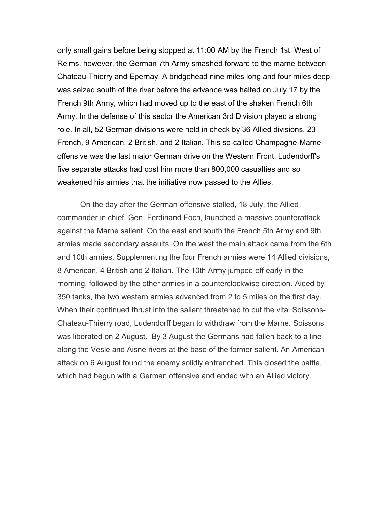only small gains before being stopped at 11:00 AM by the French 1st. West of Reims, however, the German 7th Army smashed forward to the marne between Chateau-Thierry and Epernay. A bridgehead nine miles long and four miles deep was seized south of the river before the advance was halted on July 17 by the French 9th Army, which had moved up to the east of the shaken French 6th Army. In the defense of this sector the American 3rd Division played a strong role. In all, 52 German divisions were held in check by 36 Allied divisions, 23 French, 9 American, 2 British, and 2 Italian. This so-called Champagne-Marne offensive was the last major German drive on the Western Front. Ludendorff's five separate attacks had cost him more than 800,000 casualties and so weakened his armies that the initiative now passed to the Allies.

 On the day after the German offensive stalled, 18 July, the Allied commander in chief, Gen. Ferdinand Foch, launched a massive counterattack against the Marne salient. On the east and south the French 5th Army and 9th armies made secondary assaults. On the west the main attack came from the 6th and 10th armies. Supplementing the four French armies were 14 Allied divisions, 8 American, 4 British and 2 Italian. The 10th Army jumped off early in the morning, followed by the other armies in a counterclockwise direction. Aided by 350 tanks, the two western armies advanced from 2 to 5 miles on the first day. When their continued thrust into the salient threatened to cut the vital Soissons-Chateau-Thierry road, Ludendorff began to withdraw from the Marne. Soissons was liberated on 2 August. By 3 August the Germans had fallen back to a line along the Vesle and Aisne rivers at the base of the former salient. An American attack on 6 August found the enemy solidly entrenched. This closed the battle, which had begun with a German offensive and ended with an Allied victory.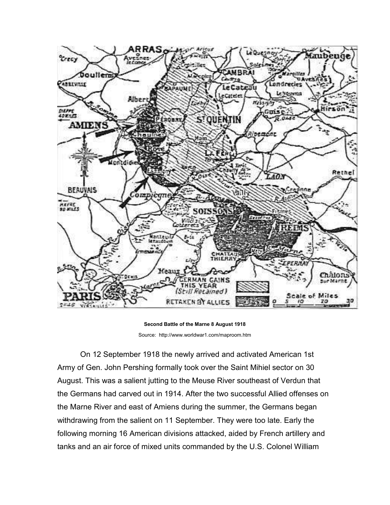

Second Battle of the Marne 8 August 1918 Source: http://www.worldwar1.com/maproom.htm

 On 12 September 1918 the newly arrived and activated American 1st Army of Gen. John Pershing formally took over the Saint Mihiel sector on 30 August. This was a salient jutting to the Meuse River southeast of Verdun that the Germans had carved out in 1914. After the two successful Allied offenses on the Marne River and east of Amiens during the summer, the Germans began withdrawing from the salient on 11 September. They were too late. Early the following morning 16 American divisions attacked, aided by French artillery and tanks and an air force of mixed units commanded by the U.S. Colonel William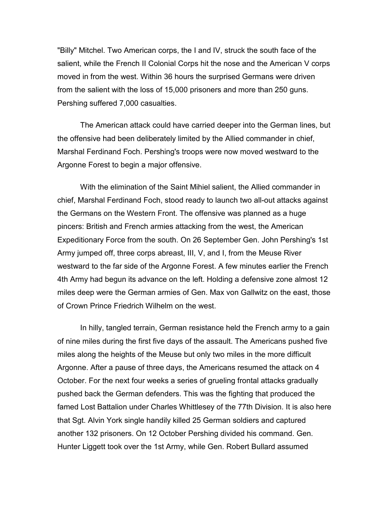"Billy" Mitchel. Two American corps, the I and IV, struck the south face of the salient, while the French II Colonial Corps hit the nose and the American V corps moved in from the west. Within 36 hours the surprised Germans were driven from the salient with the loss of 15,000 prisoners and more than 250 guns. Pershing suffered 7,000 casualties.

 The American attack could have carried deeper into the German lines, but the offensive had been deliberately limited by the Allied commander in chief, Marshal Ferdinand Foch. Pershing's troops were now moved westward to the Argonne Forest to begin a major offensive.

With the elimination of the Saint Mihiel salient, the Allied commander in chief, Marshal Ferdinand Foch, stood ready to launch two all-out attacks against the Germans on the Western Front. The offensive was planned as a huge pincers: British and French armies attacking from the west, the American Expeditionary Force from the south. On 26 September Gen. John Pershing's 1st Army jumped off, three corps abreast, III, V, and I, from the Meuse River westward to the far side of the Argonne Forest. A few minutes earlier the French 4th Army had begun its advance on the left. Holding a defensive zone almost 12 miles deep were the German armies of Gen. Max von Gallwitz on the east, those of Crown Prince Friedrich Wilhelm on the west.

 In hilly, tangled terrain, German resistance held the French army to a gain of nine miles during the first five days of the assault. The Americans pushed five miles along the heights of the Meuse but only two miles in the more difficult Argonne. After a pause of three days, the Americans resumed the attack on 4 October. For the next four weeks a series of grueling frontal attacks gradually pushed back the German defenders. This was the fighting that produced the famed Lost Battalion under Charles Whittlesey of the 77th Division. It is also here that Sgt. Alvin York single handily killed 25 German soldiers and captured another 132 prisoners. On 12 October Pershing divided his command. Gen. Hunter Liggett took over the 1st Army, while Gen. Robert Bullard assumed